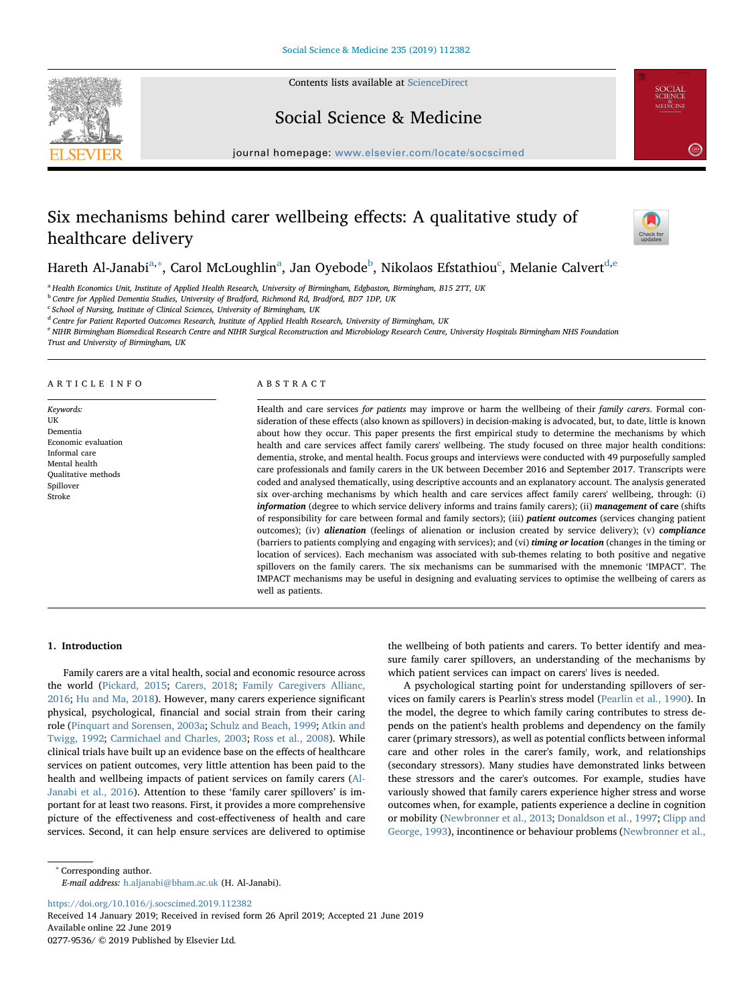Contents lists available at [ScienceDirect](http://www.sciencedirect.com/science/journal/02779536)





# Social Science & Medicine

journal homepage: [www.elsevier.com/locate/socscimed](https://www.elsevier.com/locate/socscimed)

# Six mechanisms behind carer wellbeing effects: A qualitative study of healthcare delivery



# Hareth Al-Janabi<sup>[a,](#page-0-0)[∗](#page-0-1)</sup>, C[a](#page-0-0)rol McLoughlin<sup>a</sup>, Jan Oye[b](#page-0-2)ode<sup>b</sup>, Nikolaos Efstathiou<sup>[c](#page-0-3)</sup>, Melanie Calvert<sup>[d](#page-0-4)[,e](#page-0-5)</sup>

<span id="page-0-0"></span><sup>a</sup> Health Economics Unit, Institute of Applied Health Research, University of Birmingham, Edgbaston, Birmingham, B15 2TT, UK

<span id="page-0-2"></span><sup>b</sup> Centre for Applied Dementia Studies, University of Bradford, Richmond Rd, Bradford, BD7 1DP, UK

<span id="page-0-3"></span> $c$  School of Nursing, Institute of Clinical Sciences, University of Birmingham, UK

<span id="page-0-4"></span><sup>d</sup> Centre for Patient Reported Outcomes Research, Institute of Applied Health Research, University of Birmingham, UK

<span id="page-0-5"></span><sup>e</sup> NIHR Birmingham Biomedical Research Centre and NIHR Surgical Reconstruction and Microbiology Research Centre, University Hospitals Birmingham NHS Foundation

Trust and University of Birmingham, UK

# ARTICLE INFO

Keywords: UK Dementia Economic evaluation Informal care Mental health Qualitative methods Spillover Stroke

# ABSTRACT

Health and care services for patients may improve or harm the wellbeing of their family carers. Formal consideration of these effects (also known as spillovers) in decision-making is advocated, but, to date, little is known about how they occur. This paper presents the first empirical study to determine the mechanisms by which health and care services affect family carers' wellbeing. The study focused on three major health conditions: dementia, stroke, and mental health. Focus groups and interviews were conducted with 49 purposefully sampled care professionals and family carers in the UK between December 2016 and September 2017. Transcripts were coded and analysed thematically, using descriptive accounts and an explanatory account. The analysis generated six over-arching mechanisms by which health and care services affect family carers' wellbeing, through: (i) information (degree to which service delivery informs and trains family carers); (ii) management of care (shifts of responsibility for care between formal and family sectors); (iii) patient outcomes (services changing patient outcomes); (iv) alienation (feelings of alienation or inclusion created by service delivery); (v) compliance (barriers to patients complying and engaging with services); and (vi) timing or location (changes in the timing or location of services). Each mechanism was associated with sub-themes relating to both positive and negative spillovers on the family carers. The six mechanisms can be summarised with the mnemonic 'IMPACT'. The IMPACT mechanisms may be useful in designing and evaluating services to optimise the wellbeing of carers as well as patients.

# 1. Introduction

Family carers are a vital health, social and economic resource across the world ([Pickard, 2015](#page-8-0); [Carers, 2018](#page-8-1); [Family Caregivers Allianc,](#page-8-2) [2016;](#page-8-2) [Hu and Ma, 2018](#page-8-3)). However, many carers experience significant physical, psychological, financial and social strain from their caring role [\(Pinquart and Sorensen, 2003a;](#page-8-4) [Schulz and Beach, 1999;](#page-8-5) [Atkin and](#page-8-6) [Twigg, 1992](#page-8-6); [Carmichael and Charles, 2003](#page-8-7); [Ross et al., 2008\)](#page-8-8). While clinical trials have built up an evidence base on the effects of healthcare services on patient outcomes, very little attention has been paid to the health and wellbeing impacts of patient services on family carers [\(Al-](#page-8-9)[Janabi et al., 2016\)](#page-8-9). Attention to these 'family carer spillovers' is important for at least two reasons. First, it provides a more comprehensive picture of the effectiveness and cost-effectiveness of health and care services. Second, it can help ensure services are delivered to optimise the wellbeing of both patients and carers. To better identify and measure family carer spillovers, an understanding of the mechanisms by which patient services can impact on carers' lives is needed.

A psychological starting point for understanding spillovers of services on family carers is Pearlin's stress model [\(Pearlin et al., 1990\)](#page-8-10). In the model, the degree to which family caring contributes to stress depends on the patient's health problems and dependency on the family carer (primary stressors), as well as potential conflicts between informal care and other roles in the carer's family, work, and relationships (secondary stressors). Many studies have demonstrated links between these stressors and the carer's outcomes. For example, studies have variously showed that family carers experience higher stress and worse outcomes when, for example, patients experience a decline in cognition or mobility ([Newbronner et al., 2013](#page-8-11); [Donaldson et al., 1997;](#page-8-12) [Clipp and](#page-8-13) [George, 1993\)](#page-8-13), incontinence or behaviour problems [\(Newbronner et al.,](#page-8-11)

<span id="page-0-1"></span><sup>∗</sup> Corresponding author.

E-mail address: [h.aljanabi@bham.ac.uk](mailto:h.aljanabi@bham.ac.uk) (H. Al-Janabi).

<https://doi.org/10.1016/j.socscimed.2019.112382>

Received 14 January 2019; Received in revised form 26 April 2019; Accepted 21 June 2019 Available online 22 June 2019 0277-9536/ © 2019 Published by Elsevier Ltd.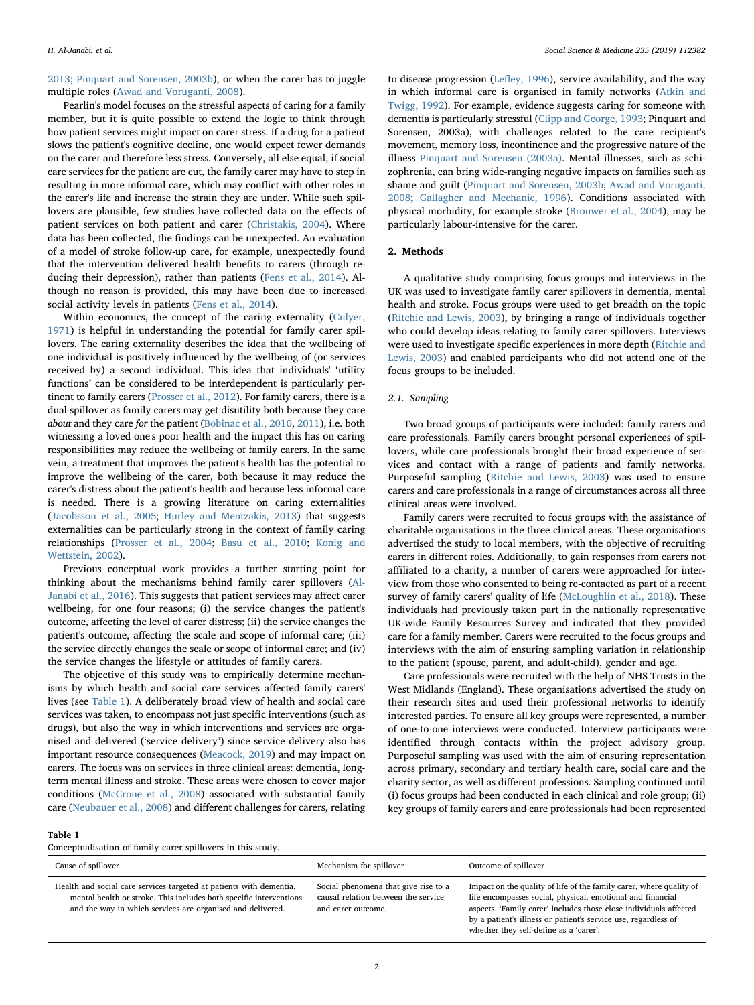[2013;](#page-8-11) [Pinquart and Sorensen, 2003b](#page-8-14)), or when the carer has to juggle multiple roles [\(Awad and Voruganti, 2008\)](#page-8-15).

Pearlin's model focuses on the stressful aspects of caring for a family member, but it is quite possible to extend the logic to think through how patient services might impact on carer stress. If a drug for a patient slows the patient's cognitive decline, one would expect fewer demands on the carer and therefore less stress. Conversely, all else equal, if social care services for the patient are cut, the family carer may have to step in resulting in more informal care, which may conflict with other roles in the carer's life and increase the strain they are under. While such spillovers are plausible, few studies have collected data on the effects of patient services on both patient and carer [\(Christakis, 2004\)](#page-8-16). Where data has been collected, the findings can be unexpected. An evaluation of a model of stroke follow-up care, for example, unexpectedly found that the intervention delivered health benefits to carers (through reducing their depression), rather than patients ([Fens et al., 2014\)](#page-8-17). Although no reason is provided, this may have been due to increased social activity levels in patients [\(Fens et al., 2014\)](#page-8-17).

Within economics, the concept of the caring externality [\(Culyer,](#page-8-18) [1971\)](#page-8-18) is helpful in understanding the potential for family carer spillovers. The caring externality describes the idea that the wellbeing of one individual is positively influenced by the wellbeing of (or services received by) a second individual. This idea that individuals' 'utility functions' can be considered to be interdependent is particularly pertinent to family carers ([Prosser et al., 2012](#page-8-19)). For family carers, there is a dual spillover as family carers may get disutility both because they care about and they care for the patient [\(Bobinac et al., 2010,](#page-8-20) [2011\)](#page-8-21), i.e. both witnessing a loved one's poor health and the impact this has on caring responsibilities may reduce the wellbeing of family carers. In the same vein, a treatment that improves the patient's health has the potential to improve the wellbeing of the carer, both because it may reduce the carer's distress about the patient's health and because less informal care is needed. There is a growing literature on caring externalities ([Jacobsson et al., 2005;](#page-8-22) [Hurley and Mentzakis, 2013\)](#page-8-23) that suggests externalities can be particularly strong in the context of family caring relationships ([Prosser et al., 2004](#page-8-24); [Basu et al., 2010](#page-8-25); [Konig and](#page-8-26) [Wettstein, 2002\)](#page-8-26).

Previous conceptual work provides a further starting point for thinking about the mechanisms behind family carer spillovers [\(Al-](#page-8-9)[Janabi et al., 2016\)](#page-8-9). This suggests that patient services may affect carer wellbeing, for one four reasons; (i) the service changes the patient's outcome, affecting the level of carer distress; (ii) the service changes the patient's outcome, affecting the scale and scope of informal care; (iii) the service directly changes the scale or scope of informal care; and (iv) the service changes the lifestyle or attitudes of family carers.

The objective of this study was to empirically determine mechanisms by which health and social care services affected family carers' lives (see [Table 1](#page-1-0)). A deliberately broad view of health and social care services was taken, to encompass not just specific interventions (such as drugs), but also the way in which interventions and services are organised and delivered ('service delivery') since service delivery also has important resource consequences ([Meacock, 2019](#page-8-27)) and may impact on carers. The focus was on services in three clinical areas: dementia, longterm mental illness and stroke. These areas were chosen to cover major conditions ([McCrone et al., 2008\)](#page-8-28) associated with substantial family care [\(Neubauer et al., 2008](#page-8-29)) and different challenges for carers, relating

to disease progression (Lefl[ey, 1996](#page-8-30)), service availability, and the way in which informal care is organised in family networks [\(Atkin and](#page-8-6) [Twigg, 1992\)](#page-8-6). For example, evidence suggests caring for someone with dementia is particularly stressful ([Clipp and George, 1993](#page-8-13); Pinquart and Sorensen, 2003a), with challenges related to the care recipient's movement, memory loss, incontinence and the progressive nature of the illness [Pinquart and Sorensen \(2003a\)](#page-8-4). Mental illnesses, such as schizophrenia, can bring wide-ranging negative impacts on families such as shame and guilt [\(Pinquart and Sorensen, 2003b;](#page-8-14) [Awad and Voruganti,](#page-8-15) [2008;](#page-8-15) [Gallagher and Mechanic, 1996\)](#page-8-31). Conditions associated with physical morbidity, for example stroke [\(Brouwer et al., 2004\)](#page-8-32), may be particularly labour-intensive for the carer.

# 2. Methods

A qualitative study comprising focus groups and interviews in the UK was used to investigate family carer spillovers in dementia, mental health and stroke. Focus groups were used to get breadth on the topic ([Ritchie and Lewis, 2003\)](#page-8-33), by bringing a range of individuals together who could develop ideas relating to family carer spillovers. Interviews were used to investigate specific experiences in more depth ([Ritchie and](#page-8-33) [Lewis, 2003\)](#page-8-33) and enabled participants who did not attend one of the focus groups to be included.

# 2.1. Sampling

Two broad groups of participants were included: family carers and care professionals. Family carers brought personal experiences of spillovers, while care professionals brought their broad experience of services and contact with a range of patients and family networks. Purposeful sampling ([Ritchie and Lewis, 2003](#page-8-33)) was used to ensure carers and care professionals in a range of circumstances across all three clinical areas were involved.

Family carers were recruited to focus groups with the assistance of charitable organisations in the three clinical areas. These organisations advertised the study to local members, with the objective of recruiting carers in different roles. Additionally, to gain responses from carers not affiliated to a charity, a number of carers were approached for interview from those who consented to being re-contacted as part of a recent survey of family carers' quality of life ([McLoughlin et al., 2018\)](#page-8-34). These individuals had previously taken part in the nationally representative UK-wide Family Resources Survey and indicated that they provided care for a family member. Carers were recruited to the focus groups and interviews with the aim of ensuring sampling variation in relationship to the patient (spouse, parent, and adult-child), gender and age.

Care professionals were recruited with the help of NHS Trusts in the West Midlands (England). These organisations advertised the study on their research sites and used their professional networks to identify interested parties. To ensure all key groups were represented, a number of one-to-one interviews were conducted. Interview participants were identified through contacts within the project advisory group. Purposeful sampling was used with the aim of ensuring representation across primary, secondary and tertiary health care, social care and the charity sector, as well as different professions. Sampling continued until (i) focus groups had been conducted in each clinical and role group; (ii) key groups of family carers and care professionals had been represented

#### <span id="page-1-0"></span>Table 1

Conceptualisation of family carer spillovers in this study.

| Cause of spillover                                                                                                                                                                                      | Mechanism for spillover                                                                           | Outcome of spillover                                                                                                                                                                                                                                                                                               |
|---------------------------------------------------------------------------------------------------------------------------------------------------------------------------------------------------------|---------------------------------------------------------------------------------------------------|--------------------------------------------------------------------------------------------------------------------------------------------------------------------------------------------------------------------------------------------------------------------------------------------------------------------|
| Health and social care services targeted at patients with dementia,<br>mental health or stroke. This includes both specific interventions<br>and the way in which services are organised and delivered. | Social phenomena that give rise to a<br>causal relation between the service<br>and carer outcome. | Impact on the quality of life of the family carer, where quality of<br>life encompasses social, physical, emotional and financial<br>aspects. 'Family carer' includes those close individuals affected<br>by a patient's illness or patient's service use, regardless of<br>whether they self-define as a 'carer'. |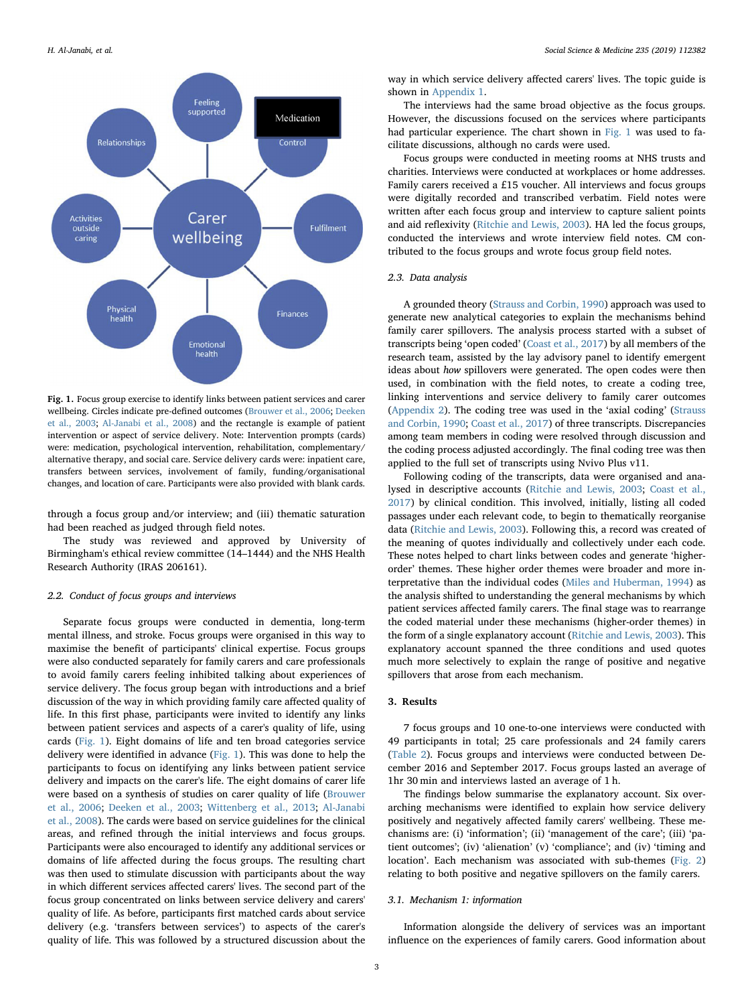<span id="page-2-0"></span>

Fig. 1. Focus group exercise to identify links between patient services and carer wellbeing. Circles indicate pre-defined outcomes [\(Brouwer et al., 2006](#page-8-35); [Deeken](#page-8-36) [et al., 2003;](#page-8-36) [Al-Janabi et al., 2008\)](#page-8-38) and the rectangle is example of patient intervention or aspect of service delivery. Note: Intervention prompts (cards) were: medication, psychological intervention, rehabilitation, complementary/ alternative therapy, and social care. Service delivery cards were: inpatient care, transfers between services, involvement of family, funding/organisational changes, and location of care. Participants were also provided with blank cards.

through a focus group and/or interview; and (iii) thematic saturation had been reached as judged through field notes.

The study was reviewed and approved by University of Birmingham's ethical review committee (14–1444) and the NHS Health Research Authority (IRAS 206161).

### 2.2. Conduct of focus groups and interviews

Separate focus groups were conducted in dementia, long-term mental illness, and stroke. Focus groups were organised in this way to maximise the benefit of participants' clinical expertise. Focus groups were also conducted separately for family carers and care professionals to avoid family carers feeling inhibited talking about experiences of service delivery. The focus group began with introductions and a brief discussion of the way in which providing family care affected quality of life. In this first phase, participants were invited to identify any links between patient services and aspects of a carer's quality of life, using cards [\(Fig. 1](#page-2-0)). Eight domains of life and ten broad categories service delivery were identified in advance ([Fig. 1](#page-2-0)). This was done to help the participants to focus on identifying any links between patient service delivery and impacts on the carer's life. The eight domains of carer life were based on a synthesis of studies on carer quality of life ([Brouwer](#page-8-35) [et al., 2006](#page-8-35); [Deeken et al., 2003](#page-8-36); [Wittenberg et al., 2013](#page-8-37); [Al-Janabi](#page-8-38) [et al., 2008](#page-8-38)). The cards were based on service guidelines for the clinical areas, and refined through the initial interviews and focus groups. Participants were also encouraged to identify any additional services or domains of life affected during the focus groups. The resulting chart was then used to stimulate discussion with participants about the way in which different services affected carers' lives. The second part of the focus group concentrated on links between service delivery and carers' quality of life. As before, participants first matched cards about service delivery (e.g. 'transfers between services') to aspects of the carer's quality of life. This was followed by a structured discussion about the

way in which service delivery affected carers' lives. The topic guide is shown in Appendix 1.

The interviews had the same broad objective as the focus groups. However, the discussions focused on the services where participants had particular experience. The chart shown in [Fig. 1](#page-2-0) was used to facilitate discussions, although no cards were used.

Focus groups were conducted in meeting rooms at NHS trusts and charities. Interviews were conducted at workplaces or home addresses. Family carers received a £15 voucher. All interviews and focus groups were digitally recorded and transcribed verbatim. Field notes were written after each focus group and interview to capture salient points and aid reflexivity ([Ritchie and Lewis, 2003\)](#page-8-33). HA led the focus groups, conducted the interviews and wrote interview field notes. CM contributed to the focus groups and wrote focus group field notes.

# 2.3. Data analysis

A grounded theory ([Strauss and Corbin, 1990\)](#page-8-39) approach was used to generate new analytical categories to explain the mechanisms behind family carer spillovers. The analysis process started with a subset of transcripts being 'open coded' [\(Coast et al., 2017](#page-8-40)) by all members of the research team, assisted by the lay advisory panel to identify emergent ideas about how spillovers were generated. The open codes were then used, in combination with the field notes, to create a coding tree, linking interventions and service delivery to family carer outcomes ([Appendix 2\)](#page-8-41). The coding tree was used in the 'axial coding' ([Strauss](#page-8-39) [and Corbin, 1990;](#page-8-39) [Coast et al., 2017](#page-8-40)) of three transcripts. Discrepancies among team members in coding were resolved through discussion and the coding process adjusted accordingly. The final coding tree was then applied to the full set of transcripts using Nvivo Plus v11.

Following coding of the transcripts, data were organised and analysed in descriptive accounts ([Ritchie and Lewis, 2003;](#page-8-33) [Coast et al.,](#page-8-40) [2017\)](#page-8-40) by clinical condition. This involved, initially, listing all coded passages under each relevant code, to begin to thematically reorganise data [\(Ritchie and Lewis, 2003\)](#page-8-33). Following this, a record was created of the meaning of quotes individually and collectively under each code. These notes helped to chart links between codes and generate 'higherorder' themes. These higher order themes were broader and more interpretative than the individual codes [\(Miles and Huberman, 1994\)](#page-8-42) as the analysis shifted to understanding the general mechanisms by which patient services affected family carers. The final stage was to rearrange the coded material under these mechanisms (higher-order themes) in the form of a single explanatory account ([Ritchie and Lewis, 2003\)](#page-8-33). This explanatory account spanned the three conditions and used quotes much more selectively to explain the range of positive and negative spillovers that arose from each mechanism.

#### 3. Results

7 focus groups and 10 one-to-one interviews were conducted with 49 participants in total; 25 care professionals and 24 family carers ([Table 2\)](#page-3-0). Focus groups and interviews were conducted between December 2016 and September 2017. Focus groups lasted an average of 1hr 30 min and interviews lasted an average of 1 h.

The findings below summarise the explanatory account. Six overarching mechanisms were identified to explain how service delivery positively and negatively affected family carers' wellbeing. These mechanisms are: (i) 'information'; (ii) 'management of the care'; (iii) 'patient outcomes'; (iv) 'alienation' (v) 'compliance'; and (iv) 'timing and location'. Each mechanism was associated with sub-themes ([Fig. 2\)](#page-3-1) relating to both positive and negative spillovers on the family carers.

### 3.1. Mechanism 1: information

Information alongside the delivery of services was an important influence on the experiences of family carers. Good information about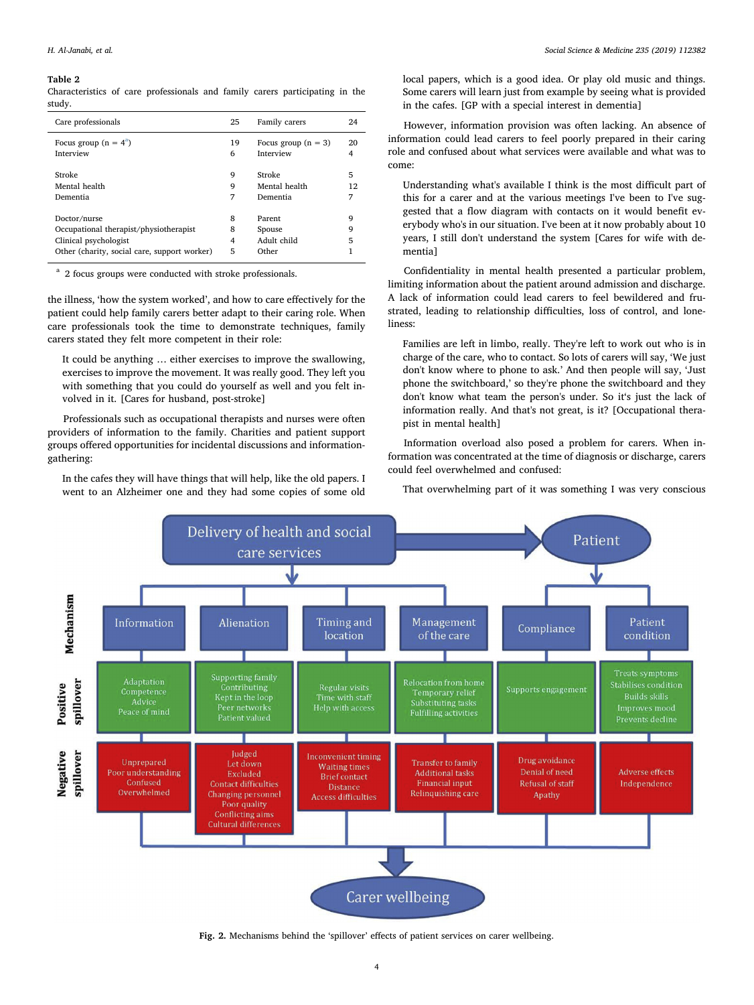#### <span id="page-3-0"></span>Table 2

Characteristics of care professionals and family carers participating in the study.

| Care professionals                                                                                                              | 25               | Family carers                            | 24          |
|---------------------------------------------------------------------------------------------------------------------------------|------------------|------------------------------------------|-------------|
| Focus group $(n = 4^a)$                                                                                                         | 19               | Focus group $(n = 3)$                    | 20          |
| Interview                                                                                                                       | 6                | Interview                                |             |
| Stroke                                                                                                                          | 9                | Stroke                                   | 5           |
| Mental health                                                                                                                   | 9                | Mental health                            | 12          |
| Dementia                                                                                                                        | 7                | Dementia                                 | 7           |
| Doctor/nurse<br>Occupational therapist/physiotherapist<br>Clinical psychologist<br>Other (charity, social care, support worker) | 8<br>8<br>4<br>5 | Parent<br>Spouse<br>Adult child<br>Other | q<br>9<br>5 |

<span id="page-3-2"></span><sup>a</sup> 2 focus groups were conducted with stroke professionals.

the illness, 'how the system worked', and how to care effectively for the patient could help family carers better adapt to their caring role. When care professionals took the time to demonstrate techniques, family carers stated they felt more competent in their role:

It could be anything … either exercises to improve the swallowing, exercises to improve the movement. It was really good. They left you with something that you could do yourself as well and you felt involved in it. [Cares for husband, post-stroke]

Professionals such as occupational therapists and nurses were often providers of information to the family. Charities and patient support groups offered opportunities for incidental discussions and informationgathering:

In the cafes they will have things that will help, like the old papers. I went to an Alzheimer one and they had some copies of some old local papers, which is a good idea. Or play old music and things. Some carers will learn just from example by seeing what is provided in the cafes. [GP with a special interest in dementia]

However, information provision was often lacking. An absence of information could lead carers to feel poorly prepared in their caring role and confused about what services were available and what was to come:

Understanding what's available I think is the most difficult part of this for a carer and at the various meetings I've been to I've suggested that a flow diagram with contacts on it would benefit everybody who's in our situation. I've been at it now probably about 10 years, I still don't understand the system [Cares for wife with dementia]

Confidentiality in mental health presented a particular problem, limiting information about the patient around admission and discharge. A lack of information could lead carers to feel bewildered and frustrated, leading to relationship difficulties, loss of control, and loneliness:

Families are left in limbo, really. They're left to work out who is in charge of the care, who to contact. So lots of carers will say, 'We just don't know where to phone to ask.' And then people will say, 'Just phone the switchboard,' so they're phone the switchboard and they don't know what team the person's under. So it's just the lack of information really. And that's not great, is it? [Occupational therapist in mental health]

Information overload also posed a problem for carers. When information was concentrated at the time of diagnosis or discharge, carers could feel overwhelmed and confused:

That overwhelming part of it was something I was very conscious

<span id="page-3-1"></span>

Fig. 2. Mechanisms behind the 'spillover' effects of patient services on carer wellbeing.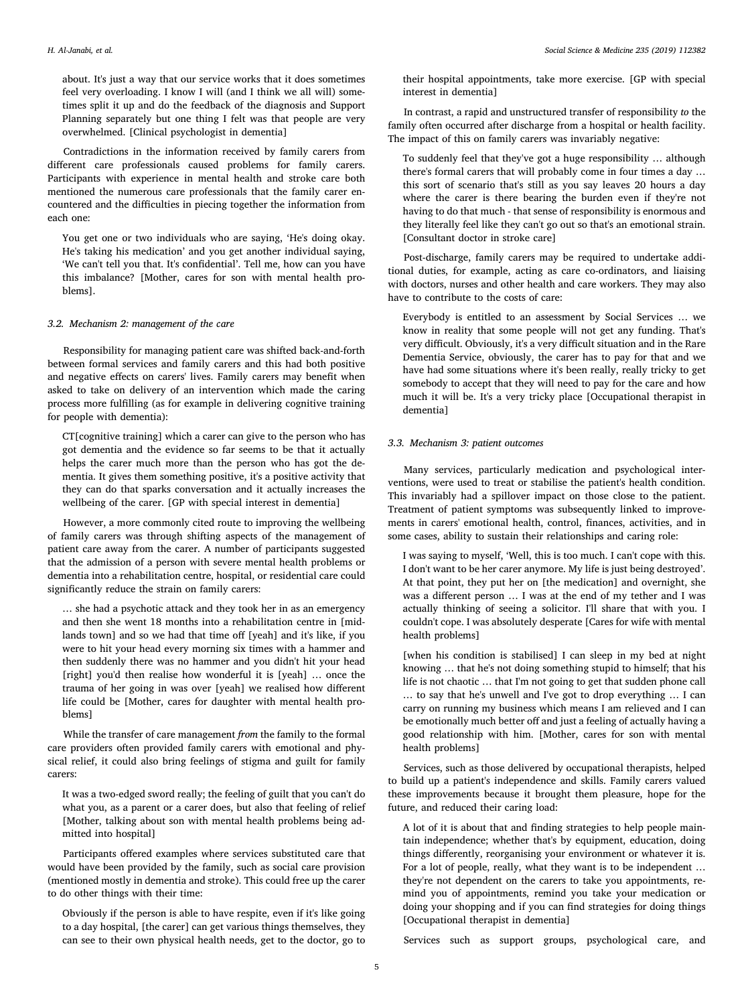about. It's just a way that our service works that it does sometimes feel very overloading. I know I will (and I think we all will) sometimes split it up and do the feedback of the diagnosis and Support Planning separately but one thing I felt was that people are very overwhelmed. [Clinical psychologist in dementia]

Contradictions in the information received by family carers from different care professionals caused problems for family carers. Participants with experience in mental health and stroke care both mentioned the numerous care professionals that the family carer encountered and the difficulties in piecing together the information from each one:

You get one or two individuals who are saying, 'He's doing okay. He's taking his medication' and you get another individual saying, 'We can't tell you that. It's confidential'. Tell me, how can you have this imbalance? [Mother, cares for son with mental health problems].

#### 3.2. Mechanism 2: management of the care

Responsibility for managing patient care was shifted back-and-forth between formal services and family carers and this had both positive and negative effects on carers' lives. Family carers may benefit when asked to take on delivery of an intervention which made the caring process more fulfilling (as for example in delivering cognitive training for people with dementia):

CT[cognitive training] which a carer can give to the person who has got dementia and the evidence so far seems to be that it actually helps the carer much more than the person who has got the dementia. It gives them something positive, it's a positive activity that they can do that sparks conversation and it actually increases the wellbeing of the carer. [GP with special interest in dementia]

However, a more commonly cited route to improving the wellbeing of family carers was through shifting aspects of the management of patient care away from the carer. A number of participants suggested that the admission of a person with severe mental health problems or dementia into a rehabilitation centre, hospital, or residential care could significantly reduce the strain on family carers:

… she had a psychotic attack and they took her in as an emergency and then she went 18 months into a rehabilitation centre in [midlands town] and so we had that time off [yeah] and it's like, if you were to hit your head every morning six times with a hammer and then suddenly there was no hammer and you didn't hit your head [right] you'd then realise how wonderful it is [yeah] … once the trauma of her going in was over [yeah] we realised how different life could be [Mother, cares for daughter with mental health problems]

While the transfer of care management from the family to the formal care providers often provided family carers with emotional and physical relief, it could also bring feelings of stigma and guilt for family carers:

It was a two-edged sword really; the feeling of guilt that you can't do what you, as a parent or a carer does, but also that feeling of relief [Mother, talking about son with mental health problems being admitted into hospital]

Participants offered examples where services substituted care that would have been provided by the family, such as social care provision (mentioned mostly in dementia and stroke). This could free up the carer to do other things with their time:

Obviously if the person is able to have respite, even if it's like going to a day hospital, [the carer] can get various things themselves, they can see to their own physical health needs, get to the doctor, go to

their hospital appointments, take more exercise. [GP with special interest in dementia]

In contrast, a rapid and unstructured transfer of responsibility to the family often occurred after discharge from a hospital or health facility. The impact of this on family carers was invariably negative:

To suddenly feel that they've got a huge responsibility … although there's formal carers that will probably come in four times a day … this sort of scenario that's still as you say leaves 20 hours a day where the carer is there bearing the burden even if they're not having to do that much - that sense of responsibility is enormous and they literally feel like they can't go out so that's an emotional strain. [Consultant doctor in stroke care]

Post-discharge, family carers may be required to undertake additional duties, for example, acting as care co-ordinators, and liaising with doctors, nurses and other health and care workers. They may also have to contribute to the costs of care:

Everybody is entitled to an assessment by Social Services … we know in reality that some people will not get any funding. That's very difficult. Obviously, it's a very difficult situation and in the Rare Dementia Service, obviously, the carer has to pay for that and we have had some situations where it's been really, really tricky to get somebody to accept that they will need to pay for the care and how much it will be. It's a very tricky place [Occupational therapist in dementia]

# 3.3. Mechanism 3: patient outcomes

Many services, particularly medication and psychological interventions, were used to treat or stabilise the patient's health condition. This invariably had a spillover impact on those close to the patient. Treatment of patient symptoms was subsequently linked to improvements in carers' emotional health, control, finances, activities, and in some cases, ability to sustain their relationships and caring role:

I was saying to myself, 'Well, this is too much. I can't cope with this. I don't want to be her carer anymore. My life is just being destroyed'. At that point, they put her on [the medication] and overnight, she was a different person … I was at the end of my tether and I was actually thinking of seeing a solicitor. I'll share that with you. I couldn't cope. I was absolutely desperate [Cares for wife with mental health problems]

[when his condition is stabilised] I can sleep in my bed at night knowing … that he's not doing something stupid to himself; that his life is not chaotic … that I'm not going to get that sudden phone call … to say that he's unwell and I've got to drop everything … I can carry on running my business which means I am relieved and I can be emotionally much better off and just a feeling of actually having a good relationship with him. [Mother, cares for son with mental health problems]

Services, such as those delivered by occupational therapists, helped to build up a patient's independence and skills. Family carers valued these improvements because it brought them pleasure, hope for the future, and reduced their caring load:

A lot of it is about that and finding strategies to help people maintain independence; whether that's by equipment, education, doing things differently, reorganising your environment or whatever it is. For a lot of people, really, what they want is to be independent … they're not dependent on the carers to take you appointments, remind you of appointments, remind you take your medication or doing your shopping and if you can find strategies for doing things [Occupational therapist in dementia]

Services such as support groups, psychological care, and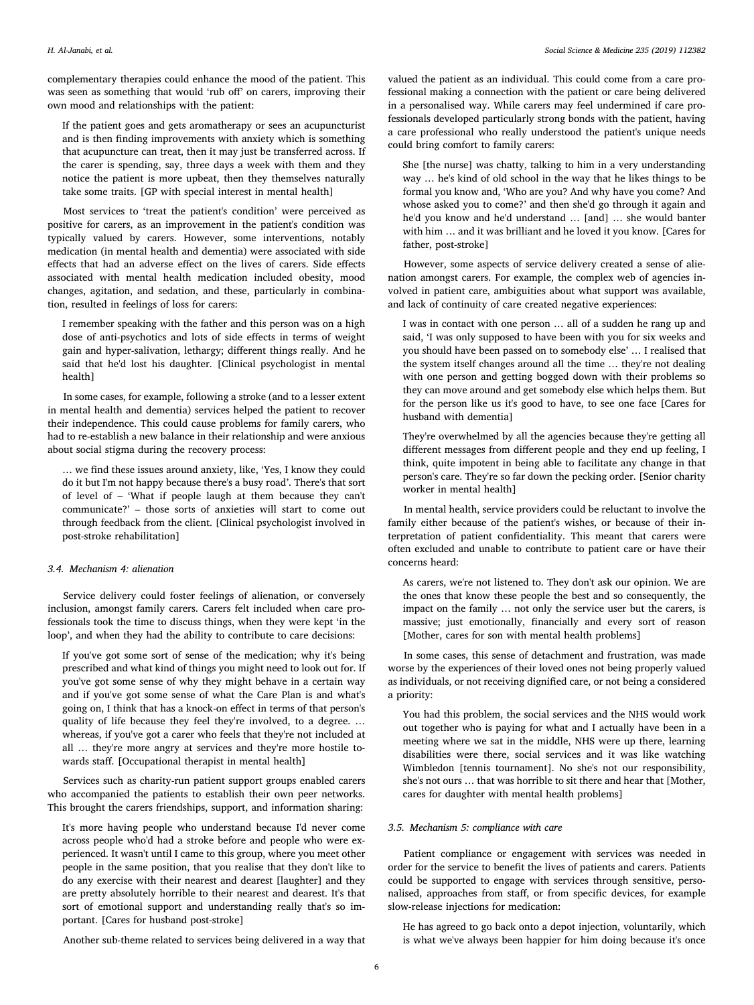complementary therapies could enhance the mood of the patient. This was seen as something that would 'rub off' on carers, improving their own mood and relationships with the patient:

If the patient goes and gets aromatherapy or sees an acupuncturist and is then finding improvements with anxiety which is something that acupuncture can treat, then it may just be transferred across. If the carer is spending, say, three days a week with them and they notice the patient is more upbeat, then they themselves naturally take some traits. [GP with special interest in mental health]

Most services to 'treat the patient's condition' were perceived as positive for carers, as an improvement in the patient's condition was typically valued by carers. However, some interventions, notably medication (in mental health and dementia) were associated with side effects that had an adverse effect on the lives of carers. Side effects associated with mental health medication included obesity, mood changes, agitation, and sedation, and these, particularly in combination, resulted in feelings of loss for carers:

I remember speaking with the father and this person was on a high dose of anti-psychotics and lots of side effects in terms of weight gain and hyper-salivation, lethargy; different things really. And he said that he'd lost his daughter. [Clinical psychologist in mental health]

In some cases, for example, following a stroke (and to a lesser extent in mental health and dementia) services helped the patient to recover their independence. This could cause problems for family carers, who had to re-establish a new balance in their relationship and were anxious about social stigma during the recovery process:

… we find these issues around anxiety, like, 'Yes, I know they could do it but I'm not happy because there's a busy road'. There's that sort of level of – 'What if people laugh at them because they can't communicate?' – those sorts of anxieties will start to come out through feedback from the client. [Clinical psychologist involved in post-stroke rehabilitation]

### 3.4. Mechanism 4: alienation

Service delivery could foster feelings of alienation, or conversely inclusion, amongst family carers. Carers felt included when care professionals took the time to discuss things, when they were kept 'in the loop', and when they had the ability to contribute to care decisions:

If you've got some sort of sense of the medication; why it's being prescribed and what kind of things you might need to look out for. If you've got some sense of why they might behave in a certain way and if you've got some sense of what the Care Plan is and what's going on, I think that has a knock-on effect in terms of that person's quality of life because they feel they're involved, to a degree. … whereas, if you've got a carer who feels that they're not included at all … they're more angry at services and they're more hostile towards staff. [Occupational therapist in mental health]

Services such as charity-run patient support groups enabled carers who accompanied the patients to establish their own peer networks. This brought the carers friendships, support, and information sharing:

It's more having people who understand because I'd never come across people who'd had a stroke before and people who were experienced. It wasn't until I came to this group, where you meet other people in the same position, that you realise that they don't like to do any exercise with their nearest and dearest [laughter] and they are pretty absolutely horrible to their nearest and dearest. It's that sort of emotional support and understanding really that's so important. [Cares for husband post-stroke]

Another sub-theme related to services being delivered in a way that

valued the patient as an individual. This could come from a care professional making a connection with the patient or care being delivered in a personalised way. While carers may feel undermined if care professionals developed particularly strong bonds with the patient, having a care professional who really understood the patient's unique needs could bring comfort to family carers:

She [the nurse] was chatty, talking to him in a very understanding way … he's kind of old school in the way that he likes things to be formal you know and, 'Who are you? And why have you come? And whose asked you to come?' and then she'd go through it again and he'd you know and he'd understand ... [and] ... she would banter with him … and it was brilliant and he loved it you know. [Cares for father, post-stroke]

However, some aspects of service delivery created a sense of alienation amongst carers. For example, the complex web of agencies involved in patient care, ambiguities about what support was available, and lack of continuity of care created negative experiences:

I was in contact with one person … all of a sudden he rang up and said, 'I was only supposed to have been with you for six weeks and you should have been passed on to somebody else' … I realised that the system itself changes around all the time … they're not dealing with one person and getting bogged down with their problems so they can move around and get somebody else which helps them. But for the person like us it's good to have, to see one face [Cares for husband with dementia]

They're overwhelmed by all the agencies because they're getting all different messages from different people and they end up feeling, I think, quite impotent in being able to facilitate any change in that person's care. They're so far down the pecking order. [Senior charity worker in mental health]

In mental health, service providers could be reluctant to involve the family either because of the patient's wishes, or because of their interpretation of patient confidentiality. This meant that carers were often excluded and unable to contribute to patient care or have their concerns heard:

As carers, we're not listened to. They don't ask our opinion. We are the ones that know these people the best and so consequently, the impact on the family … not only the service user but the carers, is massive; just emotionally, financially and every sort of reason [Mother, cares for son with mental health problems]

In some cases, this sense of detachment and frustration, was made worse by the experiences of their loved ones not being properly valued as individuals, or not receiving dignified care, or not being a considered a priority:

You had this problem, the social services and the NHS would work out together who is paying for what and I actually have been in a meeting where we sat in the middle, NHS were up there, learning disabilities were there, social services and it was like watching Wimbledon [tennis tournament]. No she's not our responsibility, she's not ours … that was horrible to sit there and hear that [Mother, cares for daughter with mental health problems]

# 3.5. Mechanism 5: compliance with care

Patient compliance or engagement with services was needed in order for the service to benefit the lives of patients and carers. Patients could be supported to engage with services through sensitive, personalised, approaches from staff, or from specific devices, for example slow-release injections for medication:

He has agreed to go back onto a depot injection, voluntarily, which is what we've always been happier for him doing because it's once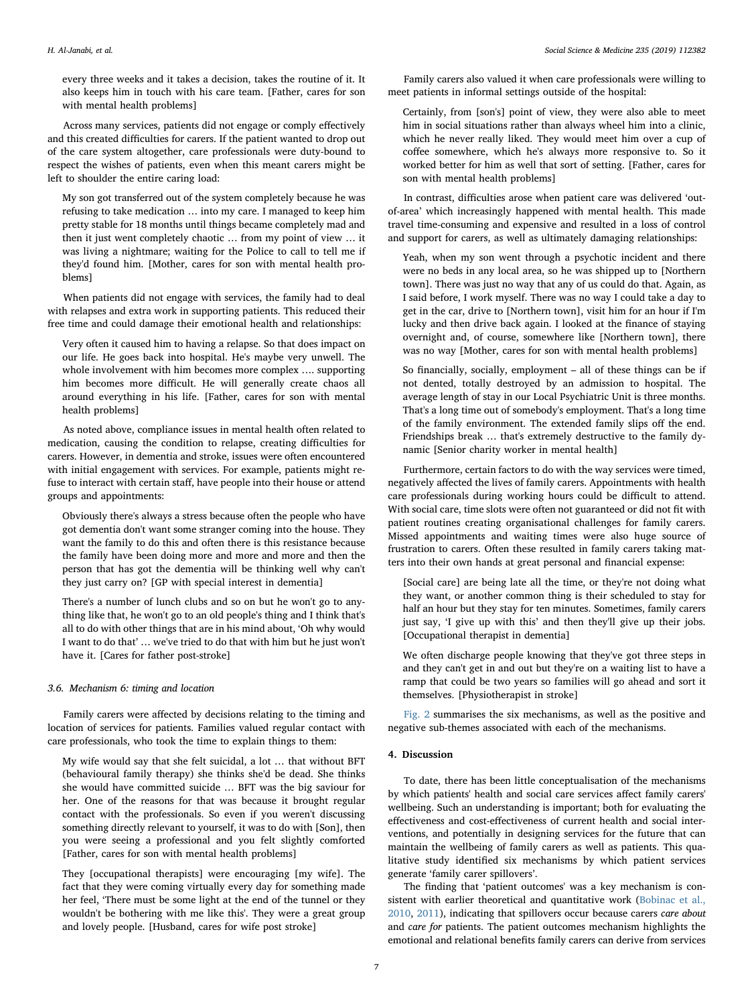every three weeks and it takes a decision, takes the routine of it. It also keeps him in touch with his care team. [Father, cares for son with mental health problems]

Across many services, patients did not engage or comply effectively and this created difficulties for carers. If the patient wanted to drop out of the care system altogether, care professionals were duty-bound to respect the wishes of patients, even when this meant carers might be left to shoulder the entire caring load:

My son got transferred out of the system completely because he was refusing to take medication … into my care. I managed to keep him pretty stable for 18 months until things became completely mad and then it just went completely chaotic … from my point of view … it was living a nightmare; waiting for the Police to call to tell me if they'd found him. [Mother, cares for son with mental health problems]

When patients did not engage with services, the family had to deal with relapses and extra work in supporting patients. This reduced their free time and could damage their emotional health and relationships:

Very often it caused him to having a relapse. So that does impact on our life. He goes back into hospital. He's maybe very unwell. The whole involvement with him becomes more complex …. supporting him becomes more difficult. He will generally create chaos all around everything in his life. [Father, cares for son with mental health problems]

As noted above, compliance issues in mental health often related to medication, causing the condition to relapse, creating difficulties for carers. However, in dementia and stroke, issues were often encountered with initial engagement with services. For example, patients might refuse to interact with certain staff, have people into their house or attend groups and appointments:

Obviously there's always a stress because often the people who have got dementia don't want some stranger coming into the house. They want the family to do this and often there is this resistance because the family have been doing more and more and more and then the person that has got the dementia will be thinking well why can't they just carry on? [GP with special interest in dementia]

There's a number of lunch clubs and so on but he won't go to anything like that, he won't go to an old people's thing and I think that's all to do with other things that are in his mind about, 'Oh why would I want to do that' … we've tried to do that with him but he just won't have it. [Cares for father post-stroke]

#### 3.6. Mechanism 6: timing and location

Family carers were affected by decisions relating to the timing and location of services for patients. Families valued regular contact with care professionals, who took the time to explain things to them:

My wife would say that she felt suicidal, a lot … that without BFT (behavioural family therapy) she thinks she'd be dead. She thinks she would have committed suicide … BFT was the big saviour for her. One of the reasons for that was because it brought regular contact with the professionals. So even if you weren't discussing something directly relevant to yourself, it was to do with [Son], then you were seeing a professional and you felt slightly comforted [Father, cares for son with mental health problems]

They [occupational therapists] were encouraging [my wife]. The fact that they were coming virtually every day for something made her feel, 'There must be some light at the end of the tunnel or they wouldn't be bothering with me like this'. They were a great group and lovely people. [Husband, cares for wife post stroke]

Family carers also valued it when care professionals were willing to meet patients in informal settings outside of the hospital:

Certainly, from [son's] point of view, they were also able to meet him in social situations rather than always wheel him into a clinic, which he never really liked. They would meet him over a cup of coffee somewhere, which he's always more responsive to. So it worked better for him as well that sort of setting. [Father, cares for son with mental health problems]

In contrast, difficulties arose when patient care was delivered 'outof-area' which increasingly happened with mental health. This made travel time-consuming and expensive and resulted in a loss of control and support for carers, as well as ultimately damaging relationships:

Yeah, when my son went through a psychotic incident and there were no beds in any local area, so he was shipped up to [Northern town]. There was just no way that any of us could do that. Again, as I said before, I work myself. There was no way I could take a day to get in the car, drive to [Northern town], visit him for an hour if I'm lucky and then drive back again. I looked at the finance of staying overnight and, of course, somewhere like [Northern town], there was no way [Mother, cares for son with mental health problems]

So financially, socially, employment – all of these things can be if not dented, totally destroyed by an admission to hospital. The average length of stay in our Local Psychiatric Unit is three months. That's a long time out of somebody's employment. That's a long time of the family environment. The extended family slips off the end. Friendships break … that's extremely destructive to the family dynamic [Senior charity worker in mental health]

Furthermore, certain factors to do with the way services were timed, negatively affected the lives of family carers. Appointments with health care professionals during working hours could be difficult to attend. With social care, time slots were often not guaranteed or did not fit with patient routines creating organisational challenges for family carers. Missed appointments and waiting times were also huge source of frustration to carers. Often these resulted in family carers taking matters into their own hands at great personal and financial expense:

[Social care] are being late all the time, or they're not doing what they want, or another common thing is their scheduled to stay for half an hour but they stay for ten minutes. Sometimes, family carers just say, 'I give up with this' and then they'll give up their jobs. [Occupational therapist in dementia]

We often discharge people knowing that they've got three steps in and they can't get in and out but they're on a waiting list to have a ramp that could be two years so families will go ahead and sort it themselves. [Physiotherapist in stroke]

[Fig. 2](#page-3-1) summarises the six mechanisms, as well as the positive and negative sub-themes associated with each of the mechanisms.

# 4. Discussion

To date, there has been little conceptualisation of the mechanisms by which patients' health and social care services affect family carers' wellbeing. Such an understanding is important; both for evaluating the effectiveness and cost-effectiveness of current health and social interventions, and potentially in designing services for the future that can maintain the wellbeing of family carers as well as patients. This qualitative study identified six mechanisms by which patient services generate 'family carer spillovers'.

The finding that 'patient outcomes' was a key mechanism is consistent with earlier theoretical and quantitative work [\(Bobinac et al.,](#page-8-20) [2010,](#page-8-20) [2011](#page-8-21)), indicating that spillovers occur because carers care about and care for patients. The patient outcomes mechanism highlights the emotional and relational benefits family carers can derive from services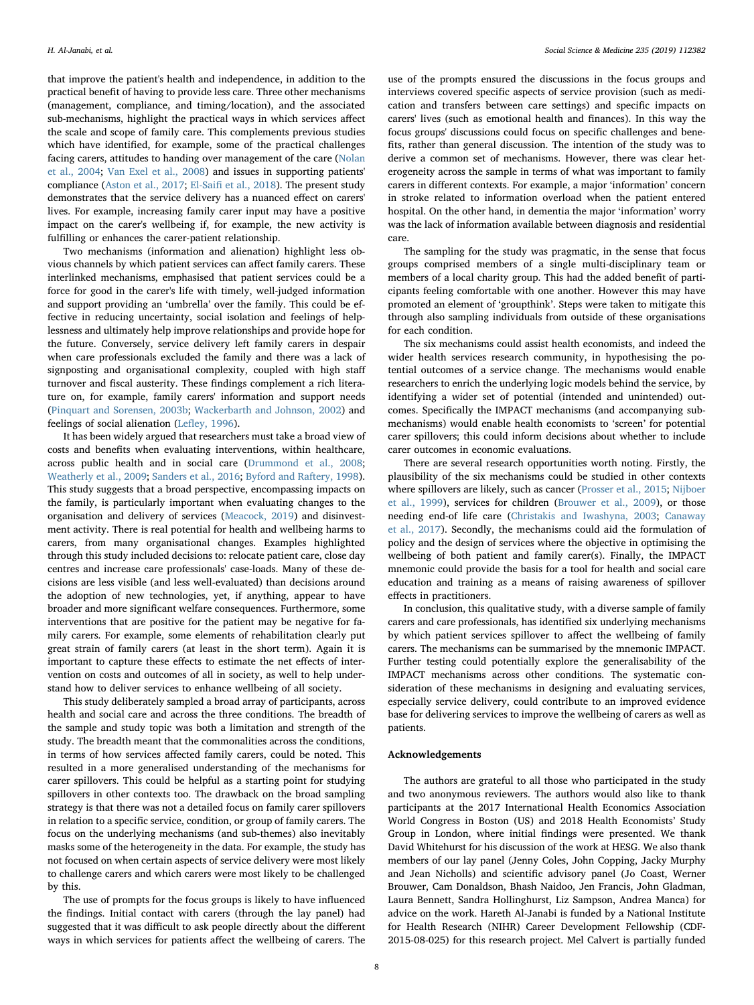that improve the patient's health and independence, in addition to the practical benefit of having to provide less care. Three other mechanisms (management, compliance, and timing/location), and the associated sub-mechanisms, highlight the practical ways in which services affect the scale and scope of family care. This complements previous studies which have identified, for example, some of the practical challenges facing carers, attitudes to handing over management of the care ([Nolan](#page-8-43) [et al., 2004](#page-8-43); [Van Exel et al., 2008](#page-8-44)) and issues in supporting patients' compliance [\(Aston et al., 2017;](#page-8-45) El-Saifi [et al., 2018](#page-8-46)). The present study demonstrates that the service delivery has a nuanced effect on carers' lives. For example, increasing family carer input may have a positive impact on the carer's wellbeing if, for example, the new activity is fulfilling or enhances the carer-patient relationship.

Two mechanisms (information and alienation) highlight less obvious channels by which patient services can affect family carers. These interlinked mechanisms, emphasised that patient services could be a force for good in the carer's life with timely, well-judged information and support providing an 'umbrella' over the family. This could be effective in reducing uncertainty, social isolation and feelings of helplessness and ultimately help improve relationships and provide hope for the future. Conversely, service delivery left family carers in despair when care professionals excluded the family and there was a lack of signposting and organisational complexity, coupled with high staff turnover and fiscal austerity. These findings complement a rich literature on, for example, family carers' information and support needs ([Pinquart and Sorensen, 2003b;](#page-8-14) [Wackerbarth and Johnson, 2002\)](#page-8-47) and feelings of social alienation (Lefl[ey, 1996\)](#page-8-30).

It has been widely argued that researchers must take a broad view of costs and benefits when evaluating interventions, within healthcare, across public health and in social care ([Drummond et al., 2008](#page-8-48); [Weatherly et al., 2009;](#page-8-49) [Sanders et al., 2016;](#page-8-50) [Byford and Raftery, 1998](#page-8-51)). This study suggests that a broad perspective, encompassing impacts on the family, is particularly important when evaluating changes to the organisation and delivery of services ([Meacock, 2019](#page-8-27)) and disinvestment activity. There is real potential for health and wellbeing harms to carers, from many organisational changes. Examples highlighted through this study included decisions to: relocate patient care, close day centres and increase care professionals' case-loads. Many of these decisions are less visible (and less well-evaluated) than decisions around the adoption of new technologies, yet, if anything, appear to have broader and more significant welfare consequences. Furthermore, some interventions that are positive for the patient may be negative for family carers. For example, some elements of rehabilitation clearly put great strain of family carers (at least in the short term). Again it is important to capture these effects to estimate the net effects of intervention on costs and outcomes of all in society, as well to help understand how to deliver services to enhance wellbeing of all society.

This study deliberately sampled a broad array of participants, across health and social care and across the three conditions. The breadth of the sample and study topic was both a limitation and strength of the study. The breadth meant that the commonalities across the conditions, in terms of how services affected family carers, could be noted. This resulted in a more generalised understanding of the mechanisms for carer spillovers. This could be helpful as a starting point for studying spillovers in other contexts too. The drawback on the broad sampling strategy is that there was not a detailed focus on family carer spillovers in relation to a specific service, condition, or group of family carers. The focus on the underlying mechanisms (and sub-themes) also inevitably masks some of the heterogeneity in the data. For example, the study has not focused on when certain aspects of service delivery were most likely to challenge carers and which carers were most likely to be challenged by this.

The use of prompts for the focus groups is likely to have influenced the findings. Initial contact with carers (through the lay panel) had suggested that it was difficult to ask people directly about the different ways in which services for patients affect the wellbeing of carers. The

use of the prompts ensured the discussions in the focus groups and interviews covered specific aspects of service provision (such as medication and transfers between care settings) and specific impacts on carers' lives (such as emotional health and finances). In this way the focus groups' discussions could focus on specific challenges and benefits, rather than general discussion. The intention of the study was to derive a common set of mechanisms. However, there was clear heterogeneity across the sample in terms of what was important to family carers in different contexts. For example, a major 'information' concern in stroke related to information overload when the patient entered hospital. On the other hand, in dementia the major 'information' worry was the lack of information available between diagnosis and residential care.

The sampling for the study was pragmatic, in the sense that focus groups comprised members of a single multi-disciplinary team or members of a local charity group. This had the added benefit of participants feeling comfortable with one another. However this may have promoted an element of 'groupthink'. Steps were taken to mitigate this through also sampling individuals from outside of these organisations for each condition.

The six mechanisms could assist health economists, and indeed the wider health services research community, in hypothesising the potential outcomes of a service change. The mechanisms would enable researchers to enrich the underlying logic models behind the service, by identifying a wider set of potential (intended and unintended) outcomes. Specifically the IMPACT mechanisms (and accompanying submechanisms) would enable health economists to 'screen' for potential carer spillovers; this could inform decisions about whether to include carer outcomes in economic evaluations.

There are several research opportunities worth noting. Firstly, the plausibility of the six mechanisms could be studied in other contexts where spillovers are likely, such as cancer [\(Prosser et al., 2015;](#page-8-52) [Nijboer](#page-8-53) [et al., 1999\)](#page-8-53), services for children (Brouwer [et al., 2009](#page-8-54)), or those needing end-of life care ([Christakis and Iwashyna, 2003;](#page-8-55) [Canaway](#page-8-56) [et al., 2017](#page-8-56)). Secondly, the mechanisms could aid the formulation of policy and the design of services where the objective in optimising the wellbeing of both patient and family carer(s). Finally, the IMPACT mnemonic could provide the basis for a tool for health and social care education and training as a means of raising awareness of spillover effects in practitioners.

In conclusion, this qualitative study, with a diverse sample of family carers and care professionals, has identified six underlying mechanisms by which patient services spillover to affect the wellbeing of family carers. The mechanisms can be summarised by the mnemonic IMPACT. Further testing could potentially explore the generalisability of the IMPACT mechanisms across other conditions. The systematic consideration of these mechanisms in designing and evaluating services, especially service delivery, could contribute to an improved evidence base for delivering services to improve the wellbeing of carers as well as patients.

# Acknowledgements

The authors are grateful to all those who participated in the study and two anonymous reviewers. The authors would also like to thank participants at the 2017 International Health Economics Association World Congress in Boston (US) and 2018 Health Economists' Study Group in London, where initial findings were presented. We thank David Whitehurst for his discussion of the work at HESG. We also thank members of our lay panel (Jenny Coles, John Copping, Jacky Murphy and Jean Nicholls) and scientific advisory panel (Jo Coast, Werner Brouwer, Cam Donaldson, Bhash Naidoo, Jen Francis, John Gladman, Laura Bennett, Sandra Hollinghurst, Liz Sampson, Andrea Manca) for advice on the work. Hareth Al-Janabi is funded by a National Institute for Health Research (NIHR) Career Development Fellowship (CDF-2015-08-025) for this research project. Mel Calvert is partially funded